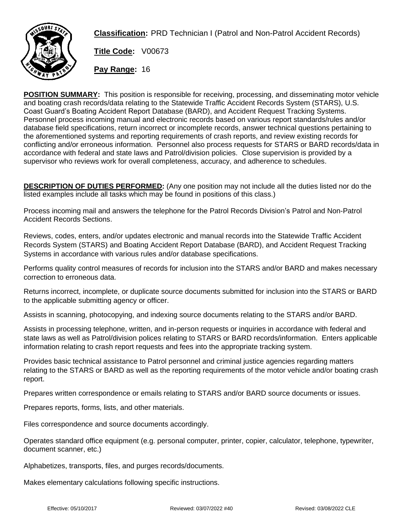

**Classification:** PRD Technician I (Patrol and Non-Patrol Accident Records)

**Title Code:** V00673

**Pay Range:** 16

**POSITION SUMMARY:** This position is responsible for receiving, processing, and disseminating motor vehicle and boating crash records/data relating to the Statewide Traffic Accident Records System (STARS), U.S. Coast Guard's Boating Accident Report Database (BARD), and Accident Request Tracking Systems. Personnel process incoming manual and electronic records based on various report standards/rules and/or database field specifications, return incorrect or incomplete records, answer technical questions pertaining to the aforementioned systems and reporting requirements of crash reports, and review existing records for conflicting and/or erroneous information. Personnel also process requests for STARS or BARD records/data in accordance with federal and state laws and Patrol/division policies. Close supervision is provided by a supervisor who reviews work for overall completeness, accuracy, and adherence to schedules.

**DESCRIPTION OF DUTIES PERFORMED:** (Any one position may not include all the duties listed nor do the listed examples include all tasks which may be found in positions of this class.)

Process incoming mail and answers the telephone for the Patrol Records Division's Patrol and Non-Patrol Accident Records Sections.

Reviews, codes, enters, and/or updates electronic and manual records into the Statewide Traffic Accident Records System (STARS) and Boating Accident Report Database (BARD), and Accident Request Tracking Systems in accordance with various rules and/or database specifications.

Performs quality control measures of records for inclusion into the STARS and/or BARD and makes necessary correction to erroneous data.

Returns incorrect, incomplete, or duplicate source documents submitted for inclusion into the STARS or BARD to the applicable submitting agency or officer.

Assists in scanning, photocopying, and indexing source documents relating to the STARS and/or BARD.

Assists in processing telephone, written, and in-person requests or inquiries in accordance with federal and state laws as well as Patrol/division polices relating to STARS or BARD records/information. Enters applicable information relating to crash report requests and fees into the appropriate tracking system.

Provides basic technical assistance to Patrol personnel and criminal justice agencies regarding matters relating to the STARS or BARD as well as the reporting requirements of the motor vehicle and/or boating crash report.

Prepares written correspondence or emails relating to STARS and/or BARD source documents or issues.

Prepares reports, forms, lists, and other materials.

Files correspondence and source documents accordingly.

Operates standard office equipment (e.g. personal computer, printer, copier, calculator, telephone, typewriter, document scanner, etc.)

Alphabetizes, transports, files, and purges records/documents.

Makes elementary calculations following specific instructions.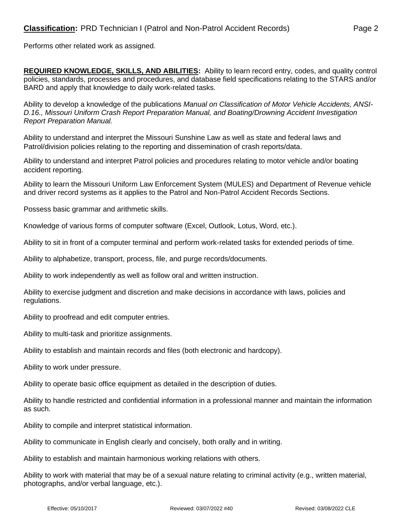Performs other related work as assigned.

**REQUIRED KNOWLEDGE, SKILLS, AND ABILITIES:** Ability to learn record entry, codes, and quality control policies, standards, processes and procedures, and database field specifications relating to the STARS and/or BARD and apply that knowledge to daily work-related tasks.

Ability to develop a knowledge of the publications *Manual on Classification of Motor Vehicle Accidents, ANSI-D.16., Missouri Uniform Crash Report Preparation Manual, and Boating/Drowning Accident Investigation Report Preparation Manual.*

Ability to understand and interpret the Missouri Sunshine Law as well as state and federal laws and Patrol/division policies relating to the reporting and dissemination of crash reports/data.

Ability to understand and interpret Patrol policies and procedures relating to motor vehicle and/or boating accident reporting.

Ability to learn the Missouri Uniform Law Enforcement System (MULES) and Department of Revenue vehicle and driver record systems as it applies to the Patrol and Non-Patrol Accident Records Sections.

Possess basic grammar and arithmetic skills.

Knowledge of various forms of computer software (Excel, Outlook, Lotus, Word, etc.).

Ability to sit in front of a computer terminal and perform work-related tasks for extended periods of time.

Ability to alphabetize, transport, process, file, and purge records/documents.

Ability to work independently as well as follow oral and written instruction.

Ability to exercise judgment and discretion and make decisions in accordance with laws, policies and regulations.

Ability to proofread and edit computer entries.

Ability to multi-task and prioritize assignments.

Ability to establish and maintain records and files (both electronic and hardcopy).

Ability to work under pressure.

Ability to operate basic office equipment as detailed in the description of duties.

Ability to handle restricted and confidential information in a professional manner and maintain the information as such.

Ability to compile and interpret statistical information.

Ability to communicate in English clearly and concisely, both orally and in writing.

Ability to establish and maintain harmonious working relations with others.

Ability to work with material that may be of a sexual nature relating to criminal activity (e.g., written material, photographs, and/or verbal language, etc.).